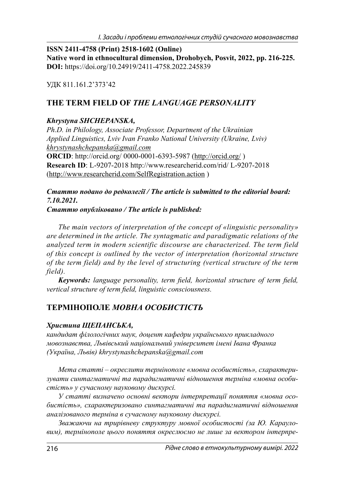**ISSN 2411-4758 (Print) 2518-1602 (Online) Native word in ethnocultural dimension, Drohobych, Posvit, 2022, pp. 216-225. DOI:** https://doi.org/10.24919/2411-4758.2022.245839

УДК 811.161.2'373'42

# **THE TERM FIELD OF** *THE LANGUAGE PERSONALITY*

### *Khrystyna SHCHEPANSKA,*

*Ph.D. in Philology, Associate Professor, Department of the Ukrainian Applied Linguistics, Lviv Ivan Franko National University (Ukraine, Lviv) khrystynashchepanska@gmail.com* **ORCID**: http://orcid.org/ 0000-0001-6393-5987 (http://orcid.org/ )

**Research ID**: L-9207-2018 http://www.researcherid.com/rid/ L-9207-2018 (http://www.researcherid.com/SelfRegistration.action )

#### *Статтю подано до редколегії / The article is submitted to the editorial board: 7.10.2021.*

#### *Статтю опубліковано / The article is published:*

*The main vectors of interpretation of the concept of «linguistic personality» are determined in the article. The syntagmatic and paradigmatic relations of the analyzed term in modern scientific discourse are characterized. The term field of this concept is outlined by the vector of interpretation (horizontal structure of the term field) and by the level of structuring (vertical structure of the term field).*

*Keywords: language personality, term field, horizontal structure of term field, vertical structure of term field, linguistic consciousness.* 

# **ТЕРМІНОПОЛЕ** *МОВНА ОСОБИСТІСТЬ*

### *Христина ЩЕПАНСЬКА,*

*кандидат філологічних наук, доцент кафедри українського прикладного мовознавства, Львівський національний університет імені Івана Франка (Україна, Львів) khrystynashchepanska@gmail.com*

*Мета статті – окреслити термінополе «мовна особистість», схарактеризувати синтагматичні та парадигматичні відношення терміна «мовна особистість» у сучасному науковому дискурсі.*

*У статті визначено основні вектори інтерпретації поняття «мовна особистість», схарактеризовано синтагматичні та парадигматичні відношення аналізованого терміна в сучасному науковому дискурсі.* 

*Зважаючи на трирівневу структуру мовної особистості (за Ю. Карауловим), термінополе цього поняття окреслюємо не лише за вектором інтерпре-*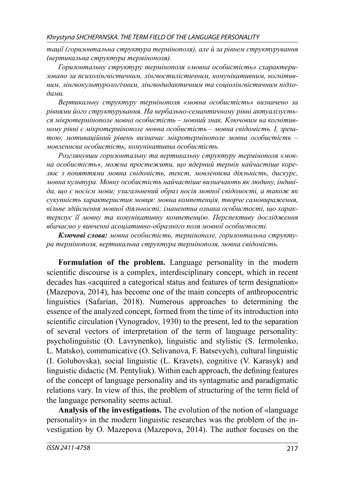*тації (горизонтальна структура термінополя), але й за рівнем структурування (вертикальна структура термінополя).*

*Горизонтальну структуру термінополя «мовна особистість» схарактеризовано за психолінгвістичним, лінгвостилістичним, комунікативним, когнітивним, лінгвокультурологічним, лінгводидактичним та соціолінгвістичним підходами.*

*Вертикальну структуру термінополя «мовна особистість» визначено за рівнями його структурування. На вербально-семантичному рівні актуалізується мікротермінополе мовна особистість – мовний знак. Ключовим на когнітивному рівні є мікротермінополе мовна особистість – мовна свідомість. І, зрештою, мотиваційний рівень визначає мікротермінополе мовна особистість – мовленнєва особистість, комунікативна особистість.*

*Розглянувши горизонтальну та вертикальну структуру термінополя «мовна особистість», можна простежити, що ядерний термін найчастіше корелює з поняттями мовна свідомість, текст, мовленнєва діяльність, дискурс, мовна культура. Мовну особистість найчастіше визначають як людину, індивіда, що є носієм мови; узагальнений образ носія мовної свідомості, а також як сукупність характеристик мовця: мовна компетенція, творче самовираження, вільне здійснення мовної діяльності; іманентна ознака особистості, що характеризує її мовну та комунікативну компетенцію. Перспективу дослідження вбачаємо у вивченні асоціативно-образного поля мовної особистості.* 

*Ключові слова: мовна особистість, термінополе, горизонтальна структура термінополя, вертикальна структура термінополя, мовна свідомість.*

**Formulation of the problem.** Language personality in the modern scientific discourse is a complex, interdisciplinary concept, which in recent decades has «acquired a categorical status and features of term designation» (Mazepova, 2014), has become one of the main concepts of anthropocentric linguistics (Safarian, 2018). Numerous approaches to determining the essence of the analyzed concept, formed from the time of its introduction into scientific circulation (Vynogradov, 1930) to the present, led to the separation of several vectors of interpretation of the term of language personality: psycholinguistic (O. Lavrynenko), linguistic and stylistic (S. Iermolenko, L. Matsko), communicative (O. Selivanova, F. Batsevych), cultural linguistic (I. Golubovska), social linguistic (L. Kravets), cognitive (V. Karasyk) and linguistic didactic (M. Pentyliuk). Within each approach, the defining features of the concept of language personality and its syntagmatic and paradigmatic relations vary. In view of this, the problem of structuring of the term field of the language personality seems actual.

**Analysis of the investigations.** The evolution of the notion of «language personality» in the modern linguistic researches was the problem of the investigation by O. Mazepova (Mazepova, 2014). The author focuses on the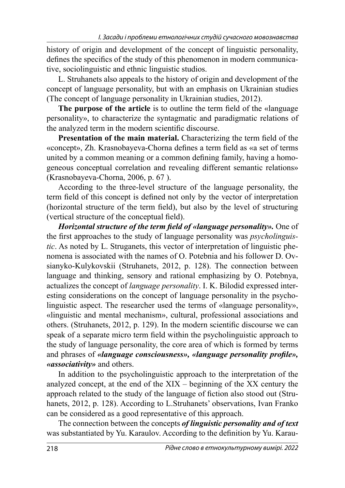history of origin and development of the concept of linguistic personality, defines the specifics of the study of this phenomenon in modern communicative, sociolinguistic and ethnic linguistic studios.

L. Struhanets also appeals to the history of origin and development of the concept of language personality, but with an emphasis on Ukrainian studies (The concept of language personality in Ukrainian studies, 2012).

**The purpose of the article** is to outline the term field of the «language personality», to characterize the syntagmatic and paradigmatic relations of the analyzed term in the modern scientific discourse.

**Presentation of the main material.** Characterizing the term field of the «concept», Zh. Krasnobayeva-Chorna defines a term field as «a set of terms united by a common meaning or a common defining family, having a homogeneous conceptual correlation and revealing different semantic relations» (Krasnobayeva-Chorna, 2006, p. 67 ).

According to the three-level structure of the language personality, the term field of this concept is defined not only by the vector of interpretation (horizontal structure of the term field), but also by the level of structuring (vertical structure of the conceptual field).

*Horizontal structure of the term field of «language personality».* One of the first approaches to the study of language personality was *psycholinguistic*. As noted by L. Struganets, this vector of interpretation of linguistic phenomena is associated with the names of O. Potebnia and his follower D. Ovsianyko-Kulykovskii (Struhanets, 2012, p. 128). The connection between language and thinking, sensory and rational emphasizing by O. Potebnya, actualizes the concept of *language personality*. I. K. Bilodid expressed interesting considerations on the concept of language personality in the psycholinguistic aspect. The researcher used the terms of «language personality», «linguistic and mental mechanism», cultural, professional associations and others. (Struhanets, 2012, p. 129). In the modern scientific discourse we can speak of a separate micro term field within the psycholinguistic approach to the study of language personality, the core area of which is formed by terms and phrases of *«language consciousness»*, *«language personality profile»*, *«associativity»* and others.

In addition to the psycholinguistic approach to the interpretation of the analyzed concept, at the end of the XIX – beginning of the XX century the approach related to the study of the language of fiction also stood out (Struhanets, 2012, p. 128). According to L.Struhanets' observations, Ivan Franko can be considered as a good representative of this approach.

The connection between the concepts *of linguistic personality and of text* was substantiated by Yu. Karaulov. According to the definition by Yu. Karau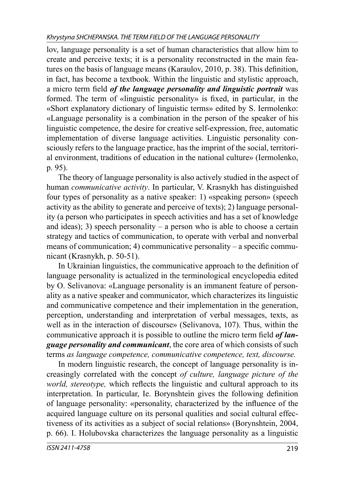lov, language personality is a set of human characteristics that allow him to create and perceive texts; it is a personality reconstructed in the main features on the basis of language means (Karaulov,  $2010$ , p. 38). This definition, in fact, has become a textbook. Within the linguistic and stylistic approach, a micro term field *of the language personality and linguistic portrait* was formed. The term of «linguistic personality» is fixed, in particular, in the «Short explanatory dictionary of linguistic terms» edited by S. Iermolenko: «Language personality is a combination in the person of the speaker of his linguistic competence, the desire for creative self-expression, free, automatic implementation of diverse language activities. Linguistic personality consciously refers to the language practice, has the imprint of the social, territorial environment, traditions of education in the national culture» (Iermolenko, p. 95).

The theory of language personality is also actively studied in the aspect of human *communicative activity*. In particular, V. Krasnykh has distinguished four types of personality as a native speaker: 1) «speaking person» (speech activity as the ability to generate and perceive of texts); 2) language personality (a person who participates in speech activities and has a set of knowledge and ideas); 3) speech personality – a person who is able to choose a certain strategy and tactics of communication, to operate with verbal and nonverbal means of communication; 4) communicative personality – a specific communicant (Krasnykh, p. 50-51).

In Ukrainian linguistics, the communicative approach to the definition of language personality is actualized in the terminological encyclopedia edited by O. Selivanova: «Language personality is an immanent feature of personality as a native speaker and communicator, which characterizes its linguistic and communicative competence and their implementation in the generation, perception, understanding and interpretation of verbal messages, texts, as well as in the interaction of discourse» (Selivanova, 107). Thus, within the communicative approach it is possible to outline the micro term field *of language personality and communicant*, the core area of which consists of such terms *as language competence, communicative competence, text, discourse.*

In modern linguistic research, the concept of language personality is increasingly correlated with the concept *of culture, language picture of the world, stereotype, which reflects the linguistic and cultural approach to its* interpretation. In particular, Ie. Borynshtein gives the following definition of language personality: «personality, characterized by the influence of the acquired language culture on its personal qualities and social cultural effectiveness of its activities as a subject of social relations» (Borynshtein, 2004, p. 66). I. Holubovska characterizes the language personality as a linguistic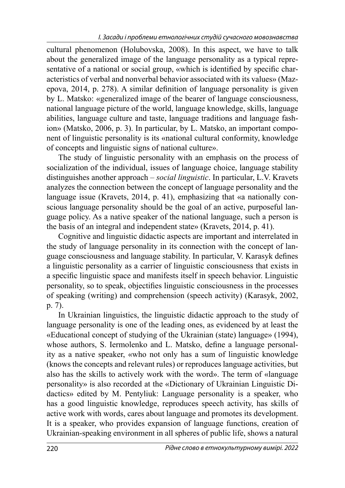cultural phenomenon (Holubovska, 2008). In this aspect, we have to talk about the generalized image of the language personality as a typical representative of a national or social group, «which is identified by specific characteristics of verbal and nonverbal behavior associated with its values» (Mazepova,  $2014$ , p. 278). A similar definition of language personality is given by L. Matsko: «generalized image of the bearer of language consciousness, national language picture of the world, language knowledge, skills, language abilities, language culture and taste, language traditions and language fashion» (Matsko, 2006, p. 3). In particular, by L. Matsko, an important component of linguistic personality is its «national cultural conformity, knowledge of concepts and linguistic signs of national culture».

The study of linguistic personality with an emphasis on the process of socialization of the individual, issues of language choice, language stability distinguishes another approach – *social linguistic*. In particular, L.V. Kravets analyzes the connection between the concept of language personality and the language issue (Kravets, 2014, p. 41), emphasizing that «a nationally conscious language personality should be the goal of an active, purposeful language policy. As a native speaker of the national language, such a person is the basis of an integral and independent state» (Kravets, 2014, p. 41).

Cognitive and linguistic didactic aspects are important and interrelated in the study of language personality in its connection with the concept of language consciousness and language stability. In particular, V. Karasyk defines a linguistic personality as a carrier of linguistic consciousness that exists in a specific linguistic space and manifests itself in speech behavior. Linguistic personality, so to speak, objectifies linguistic consciousness in the processes of speaking (writing) and comprehension (speech activity) (Karasyk, 2002, p. 7).

In Ukrainian linguistics, the linguistic didactic approach to the study of language personality is one of the leading ones, as evidenced by at least the «Educational concept of studying of the Ukrainian (state) language» (1994), whose authors, S. Iermolenko and L. Matsko, define a language personality as a native speaker, «who not only has a sum of linguistic knowledge (knows the concepts and relevant rules) or reproduces language activities, but also has the skills to actively work with the word». The term of «language personality» is also recorded at the «Dictionary of Ukrainian Linguistic Didactics» edited by M. Pentyliuk: Language personality is a speaker, who has a good linguistic knowledge, reproduces speech activity, has skills of active work with words, cares about language and promotes its development. It is a speaker, who provides expansion of language functions, creation of Ukrainian-speaking environment in all spheres of public life, shows a natural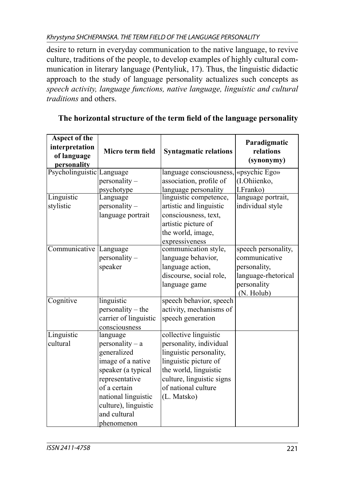desire to return in everyday communication to the native language, to revive culture, traditions of the people, to develop examples of highly cultural communication in literary language (Pentyliuk, 17). Thus, the linguistic didactic approach to the study of language personality actualizes such concepts as *speech activity, language functions, native language, linguistic and cultural traditions* and others.

| <b>Aspect of the</b><br>interpretation<br>of language | Micro term field      | <b>Syntagmatic relations</b> | Paradigmatic<br>relations |
|-------------------------------------------------------|-----------------------|------------------------------|---------------------------|
| personality                                           |                       |                              | (synonymy)                |
| Psycholinguistic Language                             |                       | language consciousness,      | «psychic Ego»             |
|                                                       | personality –         | association, profile of      | (I.Ohiienko,              |
|                                                       | psychotype            | language personality         | I.Franko)                 |
| Linguistic                                            | Language              | linguistic competence,       | language portrait,        |
| stylistic                                             | personality –         | artistic and linguistic      | individual style          |
|                                                       | language portrait     | consciousness, text,         |                           |
|                                                       |                       | artistic picture of          |                           |
|                                                       |                       | the world, image,            |                           |
|                                                       |                       | expressiveness               |                           |
| Communicative Language                                |                       | communication style,         | speech personality,       |
|                                                       | personality -         | language behavior,           | communicative             |
|                                                       | speaker               | language action,             | personality,              |
|                                                       |                       | discourse, social role,      | language-rhetorical       |
|                                                       |                       | language game                | personality               |
|                                                       |                       |                              | (N. Holub)                |
| Cognitive                                             | linguistic            | speech behavior, speech      |                           |
|                                                       | personality - the     | activity, mechanisms of      |                           |
|                                                       | carrier of linguistic | speech generation            |                           |
|                                                       | consciousness         |                              |                           |
| Linguistic                                            | language              | collective linguistic        |                           |
| cultural                                              | $personality - a$     | personality, individual      |                           |
|                                                       | generalized           | linguistic personality,      |                           |
|                                                       | image of a native     | linguistic picture of        |                           |
|                                                       | speaker (a typical    | the world, linguistic        |                           |
|                                                       | representative        | culture, linguistic signs    |                           |
|                                                       | of a certain          | of national culture          |                           |
|                                                       | national linguistic   | (L. Matsko)                  |                           |
|                                                       | culture), linguistic  |                              |                           |
|                                                       | and cultural          |                              |                           |
|                                                       | phenomenon            |                              |                           |

# The horizontal structure of the term field of the language personality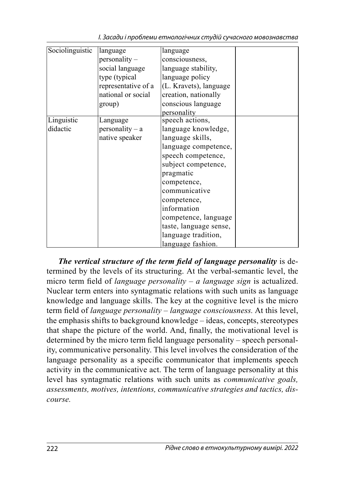| Sociolinguistic | language            | language               |  |
|-----------------|---------------------|------------------------|--|
|                 | personality –       | consciousness,         |  |
|                 | social language     | language stability,    |  |
|                 | type (typical       | language policy        |  |
|                 | representative of a | (L. Kravets), language |  |
|                 | national or social  | creation, nationally   |  |
|                 | group)              | conscious language     |  |
|                 |                     | personality            |  |
| Linguistic      | Language            | speech actions,        |  |
| didactic        | $personality - a$   | language knowledge,    |  |
|                 | native speaker      | language skills,       |  |
|                 |                     | language competence,   |  |
|                 |                     | speech competence,     |  |
|                 |                     | subject competence,    |  |
|                 |                     | pragmatic              |  |
|                 |                     | competence,            |  |
|                 |                     | communicative          |  |
|                 |                     | competence,            |  |
|                 |                     | information            |  |
|                 |                     | competence, language   |  |
|                 |                     | taste, language sense, |  |
|                 |                     | language tradition,    |  |
|                 |                     | language fashion.      |  |

І. Засади і проблеми етнологічних студій сучасного мовознавства

*The vertical structure of the term field of language personality is de*termined by the levels of its structuring. At the verbal-semantic level, the micro term field of *language personality – a language sign* is actualized. Nuclear term enters into syntagmatic relations with such units as language knowledge and language skills. The key at the cognitive level is the micro term field of *language personality – language consciousness*. At this level, the emphasis shifts to background knowledge – ideas, concepts, stereotypes that shape the picture of the world. And, finally, the motivational level is determined by the micro term field language personality – speech personality, communicative personality. This level involves the consideration of the language personality as a specific communicator that implements speech activity in the communicative act. The term of language personality at this level has syntagmatic relations with such units as *communicative goals, assessments, motives, intentions, communicative strategies and tactics, discourse.*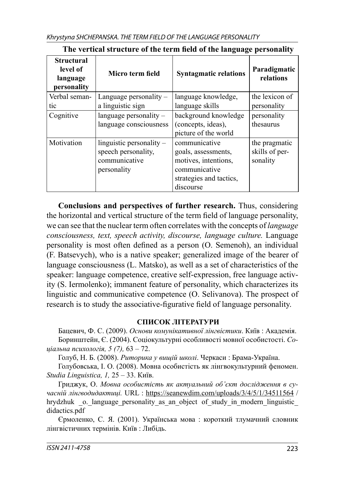| <b>Structural</b><br>level of<br>language<br>personality | Micro term field                                                                    | <b>Syntagmatic relations</b>                                                                                          | Paradigmatic<br>relations                   |
|----------------------------------------------------------|-------------------------------------------------------------------------------------|-----------------------------------------------------------------------------------------------------------------------|---------------------------------------------|
| Verbal seman-                                            | Language personality $-$                                                            | language knowledge,                                                                                                   | the lexicon of                              |
| tic                                                      | a linguistic sign                                                                   | language skills                                                                                                       | personality                                 |
| Cognitive                                                | language personality $-$<br>language consciousness                                  | background knowledge<br>(concepts, ideas),<br>picture of the world                                                    | personality<br>thesaurus                    |
| Motivation                                               | $linguistic$ personality $-$<br>speech personality,<br>communicative<br>personality | communicative<br>goals, assessments,<br>motives, intentions,<br>communicative<br>strategies and tactics,<br>discourse | the pragmatic<br>skills of per-<br>sonality |

### The vertical structure of the term field of the language personality

**Conclusions and perspectives of further research.** Thus, considering the horizontal and vertical structure of the term field of language personality, we can see that the nuclear term often correlates with the concepts of *language consciousness, text, speech activity, discourse, language culture.* Language personality is most often defined as a person (O. Semenoh), an individual (F. Batsevych), who is a native speaker; generalized image of the bearer of language consciousness (L. Matsko), as well as a set of characteristics of the speaker: language competence, creative self-expression, free language activity (S. Iermolenko); immanent feature of personality, which characterizes its linguistic and communicative competence (O. Selivanova). The prospect of research is to study the associative-figurative field of language personality.

### **СПИСОК ЛІТЕРАТУРИ**

Бацевич, Ф. С. (2009). *Основи комунікативної лінгвістики*. Київ : Академія. Боринштейн, Є. (2004). Соціокультурні особливості мовної особистості. *Соціальна психологія, 5 (7),* 63 – 72.

Голуб, Н. Б. (2008). *Риторика у вищій школі*. Черкаси : Брама-Україна.

Голубовська, І. О. (2008). Мовна особистість як лінгвокультурний феномен. *Studia Linguistica, 1,* 25 – 33. Київ.

Гриджук, О. *Мовна особистість як актуальний об'єкт дослідження в сучасній лінгводидактиці.* URL : https://seanewdim.com/uploads/3/4/5/1/34511564 / hrydzhuk o. language personality as an object of study in modern linguistic didactics.pdf

Єрмоленко, С. Я. (2001). Українська мова : короткий тлумачний словник лінгвістичних термінів. Київ : Либідь.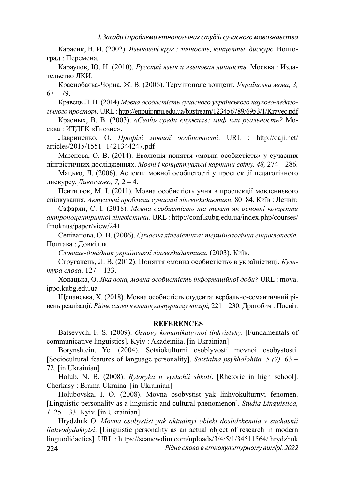Карасик, В. И. (2002). *Языковой круг : личность, концепты, дискурс.* Волгоград : Перемена.

Караулов, Ю. Н. (2010). *Русский язык и языковая личность*. Москва : Издательство ЛКИ.

Краснобаєва-Чорна, Ж. В. (2006). Термінополе концепт. *Українська мова, 3,*  $67 - 79.$ 

Кравець Л. В. (2014) *Мовна особистість сучасного українського науково-педагогічного простору.* URL : http://enpuir.npu.edu.ua/bitstream/123456789/6953/1/Kravec.pdf

Красных, В. В. (2003). *«Свой» среди «чужих»: миф или реальность?* Москва : ИТДГК «Гнозис».

Лавриненко, О. *Профілі мовної особистості*. URL : http://oaji.net/ articles/2015/1551- 1421344247.pdf

Мазепова, О. В. (2014). Еволюція поняття «мовна особистість» у сучасних лінгвістичних дослідженнях. *Мовні і концептуальні картини світу, 48,* 274 – 286.

Мацько, Л. (2006). Аспекти мовної особистості у проспекції педагогічного дискурсу. *Дивослово, 7,* 2 – 4.

Пентилюк, М. І. (2011). Мовна особистість учня в проспекції мовленнєвого спілкування. *Актуальні проблеми сучасної лінгводидактики*, 80–84. Київ : Ленвіт.

Сафарян, С. І. (2018). *Мовна особистість та текст як основні концепти антропоцентричної лінгвістики.* URL : http://conf.kubg.edu.ua/index.php/courses/ fmoknus/paper/view/241

Селіванова, О. В. (2006). *Сучасна лінгвістика: термінологічна енциклопедія.* Полтава : Довкілля.

*Словник-довідник української лінгводидактики.* (2003). Київ.

Струганець, Л. В. (2012). Поняття «мовна особистість» в україністиці. *Культура слова*, 127 – 133.

Ходацька, О. *Яка вона, мовна особистість інформаційної доби?* URL : mova. ippo.kubg.edu.ua

Щепанська, Х. (2018). Мовна особистість студента: вербально-семантичний рівень реалізації. *Рідне слово в етнокультурному вимірі,* 221 – 230. Дрогобич : Посвіт.

#### **REFERENCES**

Batsevych, F. S. (2009). *Osnovy komunikatyvnoi linhvistyky.* [Fundamentals of communicative linguistics]. Kyiv : Akademiia. [in Ukrainian]

Borynshtein, Ye. (2004). Sotsiokulturni osoblyvosti movnoi osobystosti. [Sociocultural features of language personality]. *Sotsialna psykholohiia, 5 (7),* 63 – 72. [in Ukrainian]

Holub, N. B. (2008). *Rytoryka u vyshchii shkoli*. [Rhetoric in high school]. Cherkasy : Brama-Ukraina. [in Ukrainian]

Holubovska, I. O. (2008). Movna osobystist yak linhvokulturnyi fenomen. [Linguistic personality as a linguistic and cultural phenomenon]. *Studia Linguistica, 1,* 25 – 33. Kyiv. [in Ukrainian]

Hrydzhuk O. *Movna osobystist yak aktualnyi obiekt doslidzhennia v suchasnii linhvodydaktytsi*. [Linguistic personality as an actual object of research in modern linguodidactics]. URL : https://seanewdim.com/uploads/3/4/5/1/34511564/ hrydzhuk